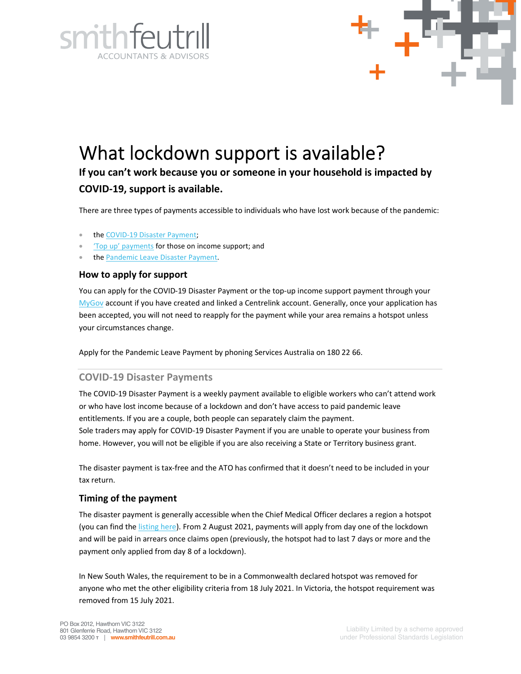



# What lockdown support is available?

**If you can't work because you or someone in your household is impacted by COVID-19, support is available.**

There are three types of payments accessible to individuals who have lost work because of the pandemic:

- the COVID-19 Disaster Payment;
- 'Top up' payments for those on income support; and
- the Pandemic Leave Disaster Payment.

## **How to apply for support**

You can apply for the COVID-19 Disaster Payment or the top-up income support payment through your MyGov account if you have created and linked a Centrelink account. Generally, once your application has been accepted, you will not need to reapply for the payment while your area remains a hotspot unless your circumstances change.

Apply for the Pandemic Leave Payment by phoning Services Australia on 180 22 66.

## **COVID-19 Disaster Payments**

The COVID-19 Disaster Payment is a weekly payment available to eligible workers who can't attend work or who have lost income because of a lockdown and don't have access to paid pandemic leave entitlements. If you are a couple, both people can separately claim the payment. Sole traders may apply for COVID-19 Disaster Payment if you are unable to operate your business from home. However, you will not be eligible if you are also receiving a State or Territory business grant.

The disaster payment is tax-free and the ATO has confirmed that it doesn't need to be included in your tax return.

## **Timing of the payment**

The disaster payment is generally accessible when the Chief Medical Officer declares a region a hotspot (you can find the listing here). From 2 August 2021, payments will apply from day one of the lockdown and will be paid in arrears once claims open (previously, the hotspot had to last 7 days or more and the payment only applied from day 8 of a lockdown).

In New South Wales, the requirement to be in a Commonwealth declared hotspot was removed for anyone who met the other eligibility criteria from 18 July 2021. In Victoria, the hotspot requirement was removed from 15 July 2021.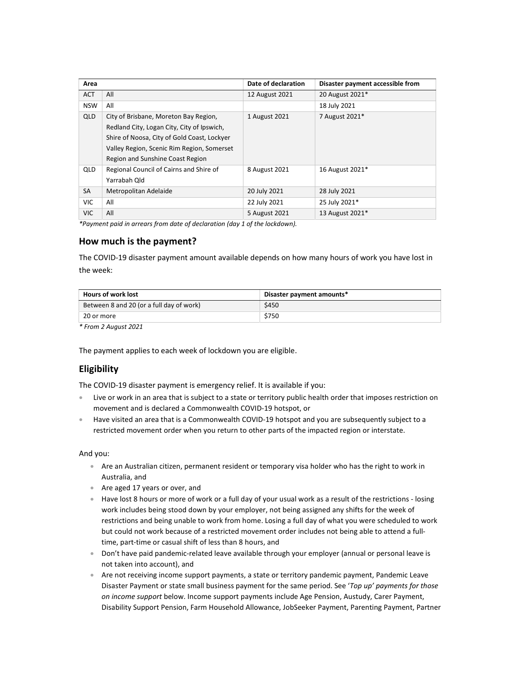| Area       |                                             | Date of declaration | Disaster payment accessible from |
|------------|---------------------------------------------|---------------------|----------------------------------|
| <b>ACT</b> | All                                         | 12 August 2021      | 20 August 2021*                  |
| <b>NSW</b> | All                                         |                     | 18 July 2021                     |
| QLD        | City of Brisbane, Moreton Bay Region,       | 1 August 2021       | 7 August 2021*                   |
|            | Redland City, Logan City, City of Ipswich,  |                     |                                  |
|            | Shire of Noosa, City of Gold Coast, Lockyer |                     |                                  |
|            | Valley Region, Scenic Rim Region, Somerset  |                     |                                  |
|            | Region and Sunshine Coast Region            |                     |                                  |
| QLD        | Regional Council of Cairns and Shire of     | 8 August 2021       | 16 August 2021*                  |
|            | Yarrabah Old                                |                     |                                  |
| SA         | Metropolitan Adelaide                       | 20 July 2021        | 28 July 2021                     |
| <b>VIC</b> | All                                         | 22 July 2021        | 25 July 2021*                    |
| <b>VIC</b> | All                                         | 5 August 2021       | 13 August 2021*                  |

*\*Payment paid in arrears from date of declaration (day 1 of the lockdown).* 

## **How much is the payment?**

The COVID-19 disaster payment amount available depends on how many hours of work you have lost in the week:

| <b>Hours of work lost</b>                | Disaster payment amounts* |  |
|------------------------------------------|---------------------------|--|
| Between 8 and 20 (or a full day of work) | \$450                     |  |
| 20 or more                               | \$750                     |  |

*\* From 2 August 2021* 

The payment applies to each week of lockdown you are eligible.

## **Eligibility**

The COVID-19 disaster payment is emergency relief. It is available if you:

- Live or work in an area that is subject to a state or territory public health order that imposes restriction on movement and is declared a Commonwealth COVID-19 hotspot, or
- Have visited an area that is a Commonwealth COVID-19 hotspot and you are subsequently subject to a restricted movement order when you return to other parts of the impacted region or interstate.

#### And you:

- Are an Australian citizen, permanent resident or temporary visa holder who has the right to work in Australia, and
- Are aged 17 years or over, and
- Have lost 8 hours or more of work or a full day of your usual work as a result of the restrictions losing work includes being stood down by your employer, not being assigned any shifts for the week of restrictions and being unable to work from home. Losing a full day of what you were scheduled to work but could not work because of a restricted movement order includes not being able to attend a fulltime, part-time or casual shift of less than 8 hours, and
- Don't have paid pandemic-related leave available through your employer (annual or personal leave is not taken into account), and
- Are not receiving income support payments, a state or territory pandemic payment, Pandemic Leave Disaster Payment or state small business payment for the same period. See '*Top up' payments for those on income support* below. Income support payments include Age Pension, Austudy, Carer Payment, Disability Support Pension, Farm Household Allowance, JobSeeker Payment, Parenting Payment, Partner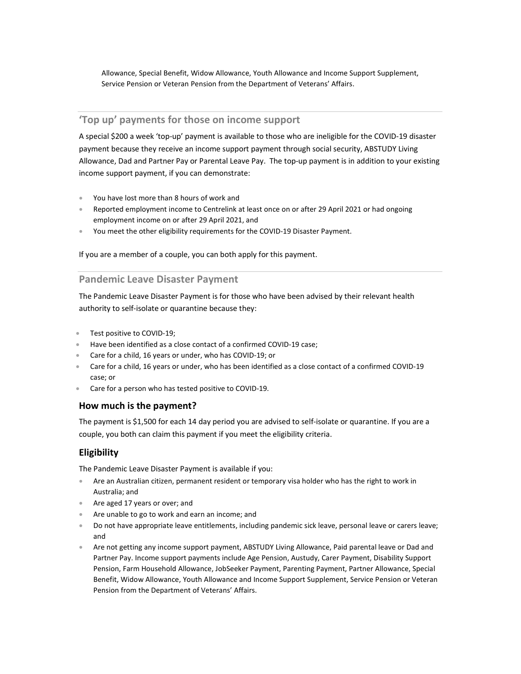Allowance, Special Benefit, Widow Allowance, Youth Allowance and Income Support Supplement, Service Pension or Veteran Pension from the Department of Veterans' Affairs.

# **'Top up' payments for those on income support**

A special \$200 a week 'top-up' payment is available to those who are ineligible for the COVID-19 disaster payment because they receive an income support payment through social security, ABSTUDY Living Allowance, Dad and Partner Pay or Parental Leave Pay. The top-up payment is in addition to your existing income support payment, if you can demonstrate:

- You have lost more than 8 hours of work and
- Reported employment income to Centrelink at least once on or after 29 April 2021 or had ongoing employment income on or after 29 April 2021, and
- You meet the other eligibility requirements for the COVID-19 Disaster Payment.

If you are a member of a couple, you can both apply for this payment.

## **Pandemic Leave Disaster Payment**

The Pandemic Leave Disaster Payment is for those who have been advised by their relevant health authority to self-isolate or quarantine because they:

- Test positive to COVID-19;
- Have been identified as a close contact of a confirmed COVID-19 case;
- Care for a child, 16 years or under, who has COVID-19; or
- Care for a child, 16 years or under, who has been identified as a close contact of a confirmed COVID-19 case; or
- Care for a person who has tested positive to COVID-19.

## **How much is the payment?**

The payment is \$1,500 for each 14 day period you are advised to self-isolate or quarantine. If you are a couple, you both can claim this payment if you meet the eligibility criteria.

# **Eligibility**

The Pandemic Leave Disaster Payment is available if you:

- Are an Australian citizen, permanent resident or temporary visa holder who has the right to work in Australia; and
- Are aged 17 years or over; and
- Are unable to go to work and earn an income; and
- Do not have appropriate leave entitlements, including pandemic sick leave, personal leave or carers leave; and
- Are not getting any income support payment, ABSTUDY Living Allowance, Paid parental leave or Dad and Partner Pay. Income support payments include Age Pension, Austudy, Carer Payment, Disability Support Pension, Farm Household Allowance, JobSeeker Payment, Parenting Payment, Partner Allowance, Special Benefit, Widow Allowance, Youth Allowance and Income Support Supplement, Service Pension or Veteran Pension from the Department of Veterans' Affairs.